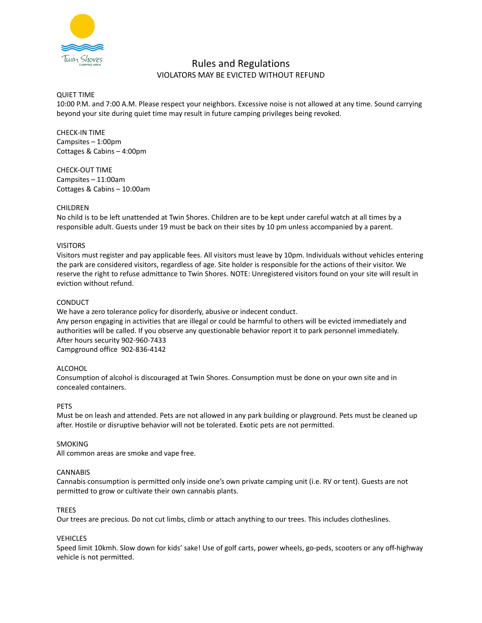

# Rules and Regulations VIOLATORS MAY BE EVICTED WITHOUT REFUND

## QUIET TIME

10:00 P.M. and 7:00 A.M. Please respect your neighbors. Excessive noise is not allowed at any time. Sound carrying beyond your site during quiet time may result in future camping privileges being revoked.

CHECK-IN TIME Campsites – 1:00pm Cottages & Cabins – 4:00pm

CHECK-OUT TIME Campsites – 11:00am Cottages & Cabins – 10:00am

## CHILDREN

No child is to be left unattended at Twin Shores. Children are to be kept under careful watch at all times by a responsible adult. Guests under 19 must be back on their sites by 10 pm unless accompanied by a parent.

## VISITORS

Visitors must register and pay applicable fees. All visitors must leave by 10pm. Individuals without vehicles entering the park are considered visitors, regardless of age. Site holder is responsible for the actions of their visitor. We reserve the right to refuse admittance to Twin Shores. NOTE: Unregistered visitors found on your site will result in eviction without refund.

## **CONDUCT**

We have a zero tolerance policy for disorderly, abusive or indecent conduct. Any person engaging in activities that are illegal or could be harmful to others will be evicted immediately and authorities will be called. If you observe any questionable behavior report it to park personnel immediately. After hours security 902-960-7433 Campground office 902-836-4142

## ALCOHOL

Consumption of alcohol is discouraged at Twin Shores. Consumption must be done on your own site and in concealed containers.

## **PFTS**

Must be on leash and attended. Pets are not allowed in any park building or playground. Pets must be cleaned up after. Hostile or disruptive behavior will not be tolerated. Exotic pets are not permitted.

## SMOKING

All common areas are smoke and vape free.

## **CANNABIS**

Cannabis consumption is permitted only inside one's own private camping unit (i.e. RV or tent). Guests are not permitted to grow or cultivate their own cannabis plants.

## TREES

Our trees are precious. Do not cut limbs, climb or attach anything to our trees. This includes clotheslines.

## **VEHICLES**

Speed limit 10kmh. Slow down for kids' sake! Use of golf carts, power wheels, go-peds, scooters or any off-highway vehicle is not permitted.